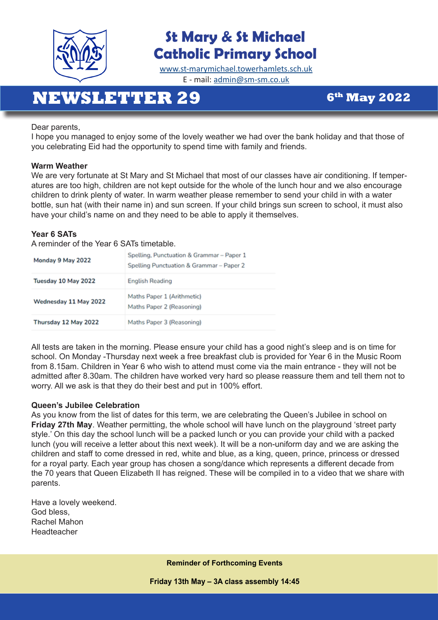

## **St Mary & St Michael Catholic Primary School**

[www.st-marymichael.towerhamlets.sch.uk](http://www.st-marymichael.towerhamlets.sch.uk)  E - mail: [admin@sm-sm.co.uk](http://admin@sm-sm.co.uk)

# **NEWSLETTER 29** 6<sup>th</sup> May 2022

Dear parents,

I hope you managed to enjoy some of the lovely weather we had over the bank holiday and that those of you celebrating Eid had the opportunity to spend time with family and friends.

#### **Warm Weather**

We are very fortunate at St Mary and St Michael that most of our classes have air conditioning. If temperatures are too high, children are not kept outside for the whole of the lunch hour and we also encourage children to drink plenty of water. In warm weather please remember to send your child in with a water bottle, sun hat (with their name in) and sun screen. If your child brings sun screen to school, it must also have your child's name on and they need to be able to apply it themselves.

#### **Year 6 SATs**

A reminder of the Year 6 SATs timetable.

| Monday 9 May 2022     | Spelling, Punctuation & Grammar - Paper 1<br>Spelling Punctuation & Grammar - Paper 2 |
|-----------------------|---------------------------------------------------------------------------------------|
| Tuesday 10 May 2022   | <b>English Reading</b>                                                                |
| Wednesday 11 May 2022 | Maths Paper 1 (Arithmetic)<br>Maths Paper 2 (Reasoning)                               |
| Thursday 12 May 2022  | Maths Paper 3 (Reasoning)                                                             |

All tests are taken in the morning. Please ensure your child has a good night's sleep and is on time for school. On Monday -Thursday next week a free breakfast club is provided for Year 6 in the Music Room from 8.15am. Children in Year 6 who wish to attend must come via the main entrance - they will not be admitted after 8.30am. The children have worked very hard so please reassure them and tell them not to worry. All we ask is that they do their best and put in 100% effort.

#### **Queen's Jubilee Celebration**

As you know from the list of dates for this term, we are celebrating the Queen's Jubilee in school on **Friday 27th May**. Weather permitting, the whole school will have lunch on the playground 'street party style.' On this day the school lunch will be a packed lunch or you can provide your child with a packed lunch (you will receive a letter about this next week). It will be a non-uniform day and we are asking the children and staff to come dressed in red, white and blue, as a king, queen, prince, princess or dressed for a royal party. Each year group has chosen a song/dance which represents a different decade from the 70 years that Queen Elizabeth II has reigned. These will be compiled in to a video that we share with parents.

Have a lovely weekend. God bless, Rachel Mahon Headteacher

**Reminder of Forthcoming Events** 

**Friday 13th May – 3A class assembly 14:45**